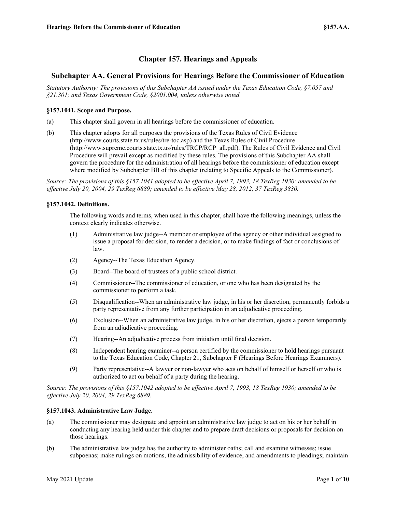# **Chapter 157. Hearings and Appeals**

# **Subchapter AA. General Provisions for Hearings Before the Commissioner of Education**

*Statutory Authority: The provisions of this Subchapter AA issued under the Texas Education Code, §7.057 and §21.301; and Texas Government Code, §2001.004, unless otherwise noted.*

# **§157.1041. Scope and Purpose.**

- (a) This chapter shall govern in all hearings before the commissioner of education.
- (b) This chapter adopts for all purposes the provisions of the Texas Rules of Civil Evidence (http://www.courts.state.tx.us/rules/tre-toc.asp) and the Texas Rules of Civil Procedure (http://www.supreme.courts.state.tx.us/rules/TRCP/RCP\_all.pdf). The Rules of Civil Evidence and Civil Procedure will prevail except as modified by these rules. The provisions of this Subchapter AA shall govern the procedure for the administration of all hearings before the commissioner of education except where modified by Subchapter BB of this chapter (relating to Specific Appeals to the Commissioner).

*Source: The provisions of this §157.1041 adopted to be effective April 7, 1993, 18 TexReg 1930; amended to be effective July 20, 2004, 29 TexReg 6889; amended to be effective May 28, 2012, 37 TexReg 3830.*

# **§157.1042. Definitions.**

The following words and terms, when used in this chapter, shall have the following meanings, unless the context clearly indicates otherwise.

- (1) Administrative law judge--A member or employee of the agency or other individual assigned to issue a proposal for decision, to render a decision, or to make findings of fact or conclusions of law.
- (2) Agency--The Texas Education Agency.
- (3) Board--The board of trustees of a public school district.
- (4) Commissioner--The commissioner of education, or one who has been designated by the commissioner to perform a task.
- (5) Disqualification--When an administrative law judge, in his or her discretion, permanently forbids a party representative from any further participation in an adjudicative proceeding.
- (6) Exclusion--When an administrative law judge, in his or her discretion, ejects a person temporarily from an adjudicative proceeding.
- (7) Hearing--An adjudicative process from initiation until final decision.
- (8) Independent hearing examiner--a person certified by the commissioner to hold hearings pursuant to the Texas Education Code, Chapter 21, Subchapter F (Hearings Before Hearings Examiners).
- (9) Party representative--A lawyer or non-lawyer who acts on behalf of himself or herself or who is authorized to act on behalf of a party during the hearing.

*Source: The provisions of this §157.1042 adopted to be effective April 7, 1993, 18 TexReg 1930; amended to be effective July 20, 2004, 29 TexReg 6889.*

#### **§157.1043. Administrative Law Judge.**

- (a) The commissioner may designate and appoint an administrative law judge to act on his or her behalf in conducting any hearing held under this chapter and to prepare draft decisions or proposals for decision on those hearings.
- (b) The administrative law judge has the authority to administer oaths; call and examine witnesses; issue subpoenas; make rulings on motions, the admissibility of evidence, and amendments to pleadings; maintain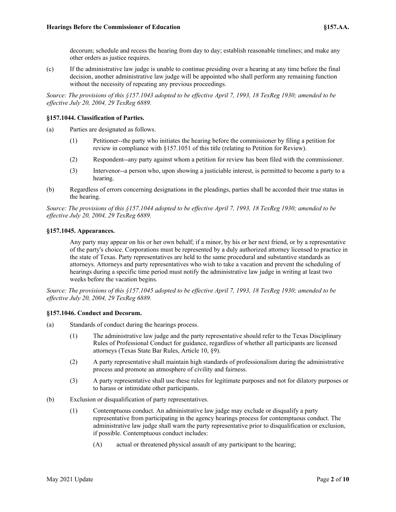decorum; schedule and recess the hearing from day to day; establish reasonable timelines; and make any other orders as justice requires.

(c) If the administrative law judge is unable to continue presiding over a hearing at any time before the final decision, another administrative law judge will be appointed who shall perform any remaining function without the necessity of repeating any previous proceedings.

*Source: The provisions of this §157.1043 adopted to be effective April 7, 1993, 18 TexReg 1930; amended to be effective July 20, 2004, 29 TexReg 6889.*

# **§157.1044. Classification of Parties.**

- (a) Parties are designated as follows.
	- (1) Petitioner--the party who initiates the hearing before the commissioner by filing a petition for review in compliance with §157.1051 of this title (relating to Petition for Review).
	- (2) Respondent--any party against whom a petition for review has been filed with the commissioner.
	- (3) Intervenor--a person who, upon showing a justiciable interest, is permitted to become a party to a hearing.
- (b) Regardless of errors concerning designations in the pleadings, parties shall be accorded their true status in the hearing.

*Source: The provisions of this §157.1044 adopted to be effective April 7, 1993, 18 TexReg 1930; amended to be effective July 20, 2004, 29 TexReg 6889.*

# **§157.1045. Appearances.**

Any party may appear on his or her own behalf; if a minor, by his or her next friend, or by a representative of the party's choice. Corporations must be represented by a duly authorized attorney licensed to practice in the state of Texas. Party representatives are held to the same procedural and substantive standards as attorneys. Attorneys and party representatives who wish to take a vacation and prevent the scheduling of hearings during a specific time period must notify the administrative law judge in writing at least two weeks before the vacation begins.

*Source: The provisions of this §157.1045 adopted to be effective April 7, 1993, 18 TexReg 1930; amended to be effective July 20, 2004, 29 TexReg 6889.*

# **§157.1046. Conduct and Decorum.**

- (a) Standards of conduct during the hearings process.
	- (1) The administrative law judge and the party representative should refer to the Texas Disciplinary Rules of Professional Conduct for guidance, regardless of whether all participants are licensed attorneys (Texas State Bar Rules, Article 10, §9).
	- (2) A party representative shall maintain high standards of professionalism during the administrative process and promote an atmosphere of civility and fairness.
	- (3) A party representative shall use these rules for legitimate purposes and not for dilatory purposes or to harass or intimidate other participants.
- (b) Exclusion or disqualification of party representatives.
	- (1) Contemptuous conduct. An administrative law judge may exclude or disqualify a party representative from participating in the agency hearings process for contemptuous conduct. The administrative law judge shall warn the party representative prior to disqualification or exclusion, if possible. Contemptuous conduct includes:
		- (A) actual or threatened physical assault of any participant to the hearing;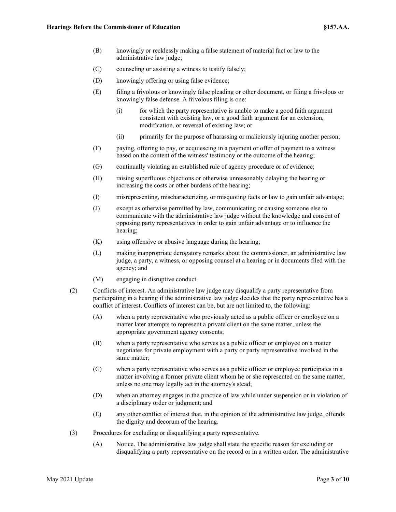- (B) knowingly or recklessly making a false statement of material fact or law to the administrative law judge;
- (C) counseling or assisting a witness to testify falsely;
- (D) knowingly offering or using false evidence;
- (E) filing a frivolous or knowingly false pleading or other document, or filing a frivolous or knowingly false defense. A frivolous filing is one:
	- (i) for which the party representative is unable to make a good faith argument consistent with existing law, or a good faith argument for an extension, modification, or reversal of existing law; or
	- (ii) primarily for the purpose of harassing or maliciously injuring another person;
- (F) paying, offering to pay, or acquiescing in a payment or offer of payment to a witness based on the content of the witness' testimony or the outcome of the hearing;
- (G) continually violating an established rule of agency procedure or of evidence;
- (H) raising superfluous objections or otherwise unreasonably delaying the hearing or increasing the costs or other burdens of the hearing;
- (I) misrepresenting, mischaracterizing, or misquoting facts or law to gain unfair advantage;
- (J) except as otherwise permitted by law, communicating or causing someone else to communicate with the administrative law judge without the knowledge and consent of opposing party representatives in order to gain unfair advantage or to influence the hearing;
- (K) using offensive or abusive language during the hearing;
- (L) making inappropriate derogatory remarks about the commissioner, an administrative law judge, a party, a witness, or opposing counsel at a hearing or in documents filed with the agency; and
- (M) engaging in disruptive conduct.
- (2) Conflicts of interest. An administrative law judge may disqualify a party representative from participating in a hearing if the administrative law judge decides that the party representative has a conflict of interest. Conflicts of interest can be, but are not limited to, the following:
	- (A) when a party representative who previously acted as a public officer or employee on a matter later attempts to represent a private client on the same matter, unless the appropriate government agency consents;
	- (B) when a party representative who serves as a public officer or employee on a matter negotiates for private employment with a party or party representative involved in the same matter;
	- (C) when a party representative who serves as a public officer or employee participates in a matter involving a former private client whom he or she represented on the same matter, unless no one may legally act in the attorney's stead;
	- (D) when an attorney engages in the practice of law while under suspension or in violation of a disciplinary order or judgment; and
	- (E) any other conflict of interest that, in the opinion of the administrative law judge, offends the dignity and decorum of the hearing.
- (3) Procedures for excluding or disqualifying a party representative.
	- (A) Notice. The administrative law judge shall state the specific reason for excluding or disqualifying a party representative on the record or in a written order. The administrative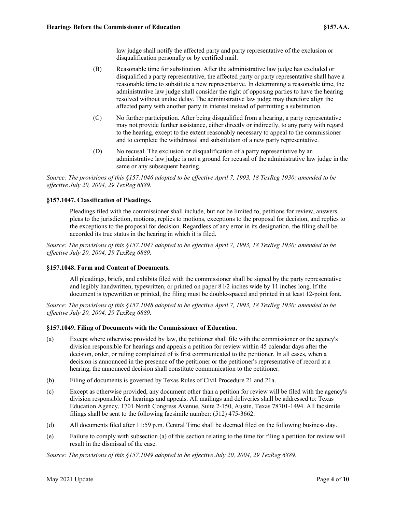law judge shall notify the affected party and party representative of the exclusion or disqualification personally or by certified mail.

- (B) Reasonable time for substitution. After the administrative law judge has excluded or disqualified a party representative, the affected party or party representative shall have a reasonable time to substitute a new representative. In determining a reasonable time, the administrative law judge shall consider the right of opposing parties to have the hearing resolved without undue delay. The administrative law judge may therefore align the affected party with another party in interest instead of permitting a substitution.
- (C) No further participation. After being disqualified from a hearing, a party representative may not provide further assistance, either directly or indirectly, to any party with regard to the hearing, except to the extent reasonably necessary to appeal to the commissioner and to complete the withdrawal and substitution of a new party representative.
- (D) No recusal. The exclusion or disqualification of a party representative by an administrative law judge is not a ground for recusal of the administrative law judge in the same or any subsequent hearing.

*Source: The provisions of this §157.1046 adopted to be effective April 7, 1993, 18 TexReg 1930; amended to be effective July 20, 2004, 29 TexReg 6889.*

# **§157.1047. Classification of Pleadings.**

Pleadings filed with the commissioner shall include, but not be limited to, petitions for review, answers, pleas to the jurisdiction, motions, replies to motions, exceptions to the proposal for decision, and replies to the exceptions to the proposal for decision. Regardless of any error in its designation, the filing shall be accorded its true status in the hearing in which it is filed.

*Source: The provisions of this §157.1047 adopted to be effective April 7, 1993, 18 TexReg 1930; amended to be effective July 20, 2004, 29 TexReg 6889.*

#### **§157.1048. Form and Content of Documents.**

All pleadings, briefs, and exhibits filed with the commissioner shall be signed by the party representative and legibly handwritten, typewritten, or printed on paper 8 l/2 inches wide by 11 inches long. If the document is typewritten or printed, the filing must be double-spaced and printed in at least 12-point font.

*Source: The provisions of this §157.1048 adopted to be effective April 7, 1993, 18 TexReg 1930; amended to be effective July 20, 2004, 29 TexReg 6889.*

#### **§157.1049. Filing of Documents with the Commissioner of Education.**

- (a) Except where otherwise provided by law, the petitioner shall file with the commissioner or the agency's division responsible for hearings and appeals a petition for review within 45 calendar days after the decision, order, or ruling complained of is first communicated to the petitioner. In all cases, when a decision is announced in the presence of the petitioner or the petitioner's representative of record at a hearing, the announced decision shall constitute communication to the petitioner.
- (b) Filing of documents is governed by Texas Rules of Civil Procedure 21 and 21a.
- (c) Except as otherwise provided, any document other than a petition for review will be filed with the agency's division responsible for hearings and appeals. All mailings and deliveries shall be addressed to: Texas Education Agency, 1701 North Congress Avenue, Suite 2-150, Austin, Texas 78701-1494. All facsimile filings shall be sent to the following facsimile number: (512) 475-3662.
- (d) All documents filed after 11:59 p.m. Central Time shall be deemed filed on the following business day.
- (e) Failure to comply with subsection (a) of this section relating to the time for filing a petition for review will result in the dismissal of the case.

*Source: The provisions of this §157.1049 adopted to be effective July 20, 2004, 29 TexReg 6889.*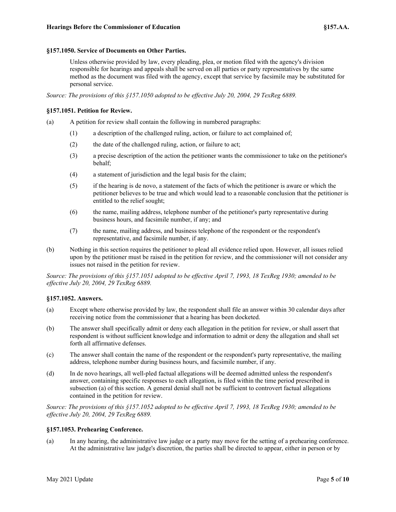#### **§157.1050. Service of Documents on Other Parties.**

Unless otherwise provided by law, every pleading, plea, or motion filed with the agency's division responsible for hearings and appeals shall be served on all parties or party representatives by the same method as the document was filed with the agency, except that service by facsimile may be substituted for personal service.

*Source: The provisions of this §157.1050 adopted to be effective July 20, 2004, 29 TexReg 6889.*

# **§157.1051. Petition for Review.**

(a) A petition for review shall contain the following in numbered paragraphs:

- (1) a description of the challenged ruling, action, or failure to act complained of;
- (2) the date of the challenged ruling, action, or failure to act;
- (3) a precise description of the action the petitioner wants the commissioner to take on the petitioner's behalf;
- (4) a statement of jurisdiction and the legal basis for the claim;
- (5) if the hearing is de novo, a statement of the facts of which the petitioner is aware or which the petitioner believes to be true and which would lead to a reasonable conclusion that the petitioner is entitled to the relief sought;
- (6) the name, mailing address, telephone number of the petitioner's party representative during business hours, and facsimile number, if any; and
- (7) the name, mailing address, and business telephone of the respondent or the respondent's representative, and facsimile number, if any.
- (b) Nothing in this section requires the petitioner to plead all evidence relied upon. However, all issues relied upon by the petitioner must be raised in the petition for review, and the commissioner will not consider any issues not raised in the petition for review.

*Source: The provisions of this §157.1051 adopted to be effective April 7, 1993, 18 TexReg 1930; amended to be effective July 20, 2004, 29 TexReg 6889.*

#### **§157.1052. Answers.**

- (a) Except where otherwise provided by law, the respondent shall file an answer within 30 calendar days after receiving notice from the commissioner that a hearing has been docketed.
- (b) The answer shall specifically admit or deny each allegation in the petition for review, or shall assert that respondent is without sufficient knowledge and information to admit or deny the allegation and shall set forth all affirmative defenses.
- (c) The answer shall contain the name of the respondent or the respondent's party representative, the mailing address, telephone number during business hours, and facsimile number, if any.
- (d) In de novo hearings, all well-pled factual allegations will be deemed admitted unless the respondent's answer, containing specific responses to each allegation, is filed within the time period prescribed in subsection (a) of this section. A general denial shall not be sufficient to controvert factual allegations contained in the petition for review.

*Source: The provisions of this §157.1052 adopted to be effective April 7, 1993, 18 TexReg 1930; amended to be effective July 20, 2004, 29 TexReg 6889.*

#### **§157.1053. Prehearing Conference.**

(a) In any hearing, the administrative law judge or a party may move for the setting of a prehearing conference. At the administrative law judge's discretion, the parties shall be directed to appear, either in person or by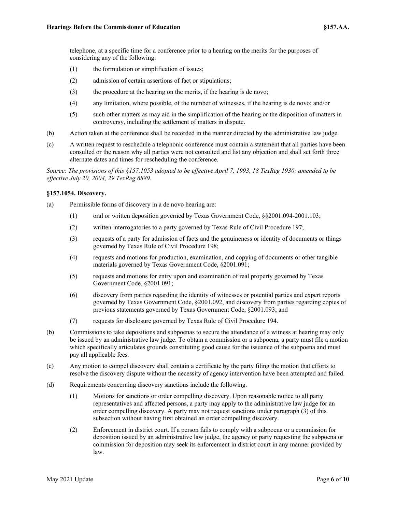telephone, at a specific time for a conference prior to a hearing on the merits for the purposes of considering any of the following:

- (1) the formulation or simplification of issues;
- (2) admission of certain assertions of fact or stipulations;
- (3) the procedure at the hearing on the merits, if the hearing is de novo;
- (4) any limitation, where possible, of the number of witnesses, if the hearing is de novo; and/or
- (5) such other matters as may aid in the simplification of the hearing or the disposition of matters in controversy, including the settlement of matters in dispute.
- (b) Action taken at the conference shall be recorded in the manner directed by the administrative law judge.
- (c) A written request to reschedule a telephonic conference must contain a statement that all parties have been consulted or the reason why all parties were not consulted and list any objection and shall set forth three alternate dates and times for rescheduling the conference.

*Source: The provisions of this §157.1053 adopted to be effective April 7, 1993, 18 TexReg 1930; amended to be effective July 20, 2004, 29 TexReg 6889.*

# **§157.1054. Discovery.**

- (a) Permissible forms of discovery in a de novo hearing are:
	- (1) oral or written deposition governed by Texas Government Code, §§2001.094-2001.103;
	- (2) written interrogatories to a party governed by Texas Rule of Civil Procedure 197;
	- (3) requests of a party for admission of facts and the genuineness or identity of documents or things governed by Texas Rule of Civil Procedure 198;
	- (4) requests and motions for production, examination, and copying of documents or other tangible materials governed by Texas Government Code, §2001.091;
	- (5) requests and motions for entry upon and examination of real property governed by Texas Government Code, §2001.091;
	- (6) discovery from parties regarding the identity of witnesses or potential parties and expert reports governed by Texas Government Code, §2001.092, and discovery from parties regarding copies of previous statements governed by Texas Government Code, §2001.093; and
	- (7) requests for disclosure governed by Texas Rule of Civil Procedure 194.
- (b) Commissions to take depositions and subpoenas to secure the attendance of a witness at hearing may only be issued by an administrative law judge. To obtain a commission or a subpoena, a party must file a motion which specifically articulates grounds constituting good cause for the issuance of the subpoena and must pay all applicable fees.
- (c) Any motion to compel discovery shall contain a certificate by the party filing the motion that efforts to resolve the discovery dispute without the necessity of agency intervention have been attempted and failed.
- (d) Requirements concerning discovery sanctions include the following.
	- (1) Motions for sanctions or order compelling discovery. Upon reasonable notice to all party representatives and affected persons, a party may apply to the administrative law judge for an order compelling discovery. A party may not request sanctions under paragraph (3) of this subsection without having first obtained an order compelling discovery.
	- (2) Enforcement in district court. If a person fails to comply with a subpoena or a commission for deposition issued by an administrative law judge, the agency or party requesting the subpoena or commission for deposition may seek its enforcement in district court in any manner provided by law.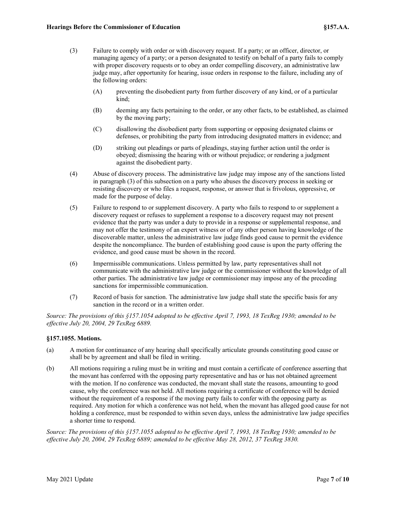- (3) Failure to comply with order or with discovery request. If a party; or an officer, director, or managing agency of a party; or a person designated to testify on behalf of a party fails to comply with proper discovery requests or to obey an order compelling discovery, an administrative law judge may, after opportunity for hearing, issue orders in response to the failure, including any of the following orders:
	- (A) preventing the disobedient party from further discovery of any kind, or of a particular kind;
	- (B) deeming any facts pertaining to the order, or any other facts, to be established, as claimed by the moving party;
	- (C) disallowing the disobedient party from supporting or opposing designated claims or defenses, or prohibiting the party from introducing designated matters in evidence; and
	- (D) striking out pleadings or parts of pleadings, staying further action until the order is obeyed; dismissing the hearing with or without prejudice; or rendering a judgment against the disobedient party.
- (4) Abuse of discovery process. The administrative law judge may impose any of the sanctions listed in paragraph (3) of this subsection on a party who abuses the discovery process in seeking or resisting discovery or who files a request, response, or answer that is frivolous, oppressive, or made for the purpose of delay.
- (5) Failure to respond to or supplement discovery. A party who fails to respond to or supplement a discovery request or refuses to supplement a response to a discovery request may not present evidence that the party was under a duty to provide in a response or supplemental response, and may not offer the testimony of an expert witness or of any other person having knowledge of the discoverable matter, unless the administrative law judge finds good cause to permit the evidence despite the noncompliance. The burden of establishing good cause is upon the party offering the evidence, and good cause must be shown in the record.
- (6) Impermissible communications. Unless permitted by law, party representatives shall not communicate with the administrative law judge or the commissioner without the knowledge of all other parties. The administrative law judge or commissioner may impose any of the preceding sanctions for impermissible communication.
- (7) Record of basis for sanction. The administrative law judge shall state the specific basis for any sanction in the record or in a written order.

*Source: The provisions of this §157.1054 adopted to be effective April 7, 1993, 18 TexReg 1930; amended to be effective July 20, 2004, 29 TexReg 6889.*

# **§157.1055. Motions.**

- (a) A motion for continuance of any hearing shall specifically articulate grounds constituting good cause or shall be by agreement and shall be filed in writing.
- (b) All motions requiring a ruling must be in writing and must contain a certificate of conference asserting that the movant has conferred with the opposing party representative and has or has not obtained agreement with the motion. If no conference was conducted, the movant shall state the reasons, amounting to good cause, why the conference was not held. All motions requiring a certificate of conference will be denied without the requirement of a response if the moving party fails to confer with the opposing party as required. Any motion for which a conference was not held, when the movant has alleged good cause for not holding a conference, must be responded to within seven days, unless the administrative law judge specifies a shorter time to respond.

*Source: The provisions of this §157.1055 adopted to be effective April 7, 1993, 18 TexReg 1930; amended to be effective July 20, 2004, 29 TexReg 6889; amended to be effective May 28, 2012, 37 TexReg 3830.*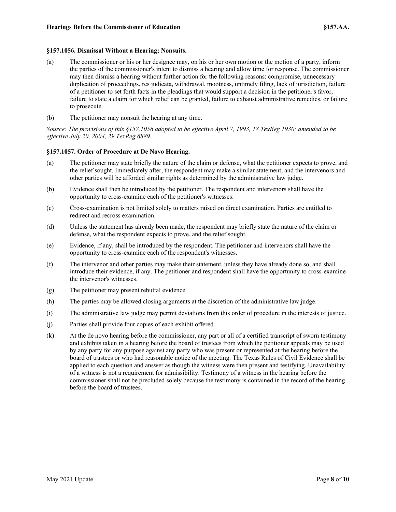#### **§157.1056. Dismissal Without a Hearing; Nonsuits.**

- (a) The commissioner or his or her designee may, on his or her own motion or the motion of a party, inform the parties of the commissioner's intent to dismiss a hearing and allow time for response. The commissioner may then dismiss a hearing without further action for the following reasons: compromise, unnecessary duplication of proceedings, res judicata, withdrawal, mootness, untimely filing, lack of jurisdiction, failure of a petitioner to set forth facts in the pleadings that would support a decision in the petitioner's favor, failure to state a claim for which relief can be granted, failure to exhaust administrative remedies, or failure to prosecute.
- (b) The petitioner may nonsuit the hearing at any time.

*Source: The provisions of this §157.1056 adopted to be effective April 7, 1993, 18 TexReg 1930; amended to be effective July 20, 2004, 29 TexReg 6889.*

# **§157.1057. Order of Procedure at De Novo Hearing.**

- (a) The petitioner may state briefly the nature of the claim or defense, what the petitioner expects to prove, and the relief sought. Immediately after, the respondent may make a similar statement, and the intervenors and other parties will be afforded similar rights as determined by the administrative law judge.
- (b) Evidence shall then be introduced by the petitioner. The respondent and intervenors shall have the opportunity to cross-examine each of the petitioner's witnesses.
- (c) Cross-examination is not limited solely to matters raised on direct examination. Parties are entitled to redirect and recross examination.
- (d) Unless the statement has already been made, the respondent may briefly state the nature of the claim or defense, what the respondent expects to prove, and the relief sought.
- (e) Evidence, if any, shall be introduced by the respondent. The petitioner and intervenors shall have the opportunity to cross-examine each of the respondent's witnesses.
- (f) The intervenor and other parties may make their statement, unless they have already done so, and shall introduce their evidence, if any. The petitioner and respondent shall have the opportunity to cross-examine the intervenor's witnesses.
- (g) The petitioner may present rebuttal evidence.
- (h) The parties may be allowed closing arguments at the discretion of the administrative law judge.
- (i) The administrative law judge may permit deviations from this order of procedure in the interests of justice.
- (j) Parties shall provide four copies of each exhibit offered.
- (k) At the de novo hearing before the commissioner, any part or all of a certified transcript of sworn testimony and exhibits taken in a hearing before the board of trustees from which the petitioner appeals may be used by any party for any purpose against any party who was present or represented at the hearing before the board of trustees or who had reasonable notice of the meeting. The Texas Rules of Civil Evidence shall be applied to each question and answer as though the witness were then present and testifying. Unavailability of a witness is not a requirement for admissibility. Testimony of a witness in the hearing before the commissioner shall not be precluded solely because the testimony is contained in the record of the hearing before the board of trustees.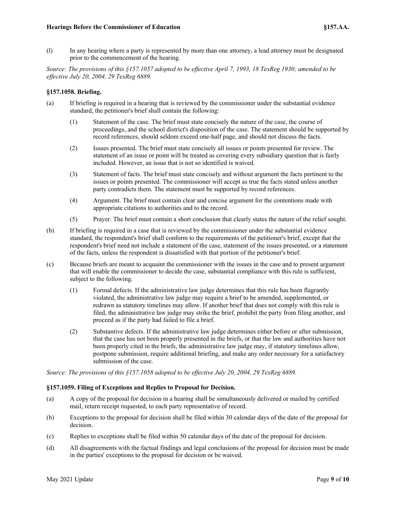(l) In any hearing where a party is represented by more than one attorney, a lead attorney must be designated prior to the commencement of the hearing.

*Source: The provisions of this §157.1057 adopted to be effective April 7, 1993, 18 TexReg 1930; amended to be effective July 20, 2004, 29 TexReg 6889.*

# **§157.1058. Briefing.**

- (a) If briefing is required in a hearing that is reviewed by the commissioner under the substantial evidence standard, the petitioner's brief shall contain the following:
	- (1) Statement of the case. The brief must state concisely the nature of the case, the course of proceedings, and the school district's disposition of the case. The statement should be supported by record references, should seldom exceed one-half page, and should not discuss the facts.
	- (2) Issues presented. The brief must state concisely all issues or points presented for review. The statement of an issue or point will be treated as covering every subsidiary question that is fairly included. However, an issue that is not so identified is waived.
	- (3) Statement of facts. The brief must state concisely and without argument the facts pertinent to the issues or points presented. The commissioner will accept as true the facts stated unless another party contradicts them. The statement must be supported by record references.
	- (4) Argument. The brief must contain clear and concise argument for the contentions made with appropriate citations to authorities and to the record.
	- (5) Prayer. The brief must contain a short conclusion that clearly states the nature of the relief sought.
- (b) If briefing is required in a case that is reviewed by the commissioner under the substantial evidence standard, the respondent's brief shall conform to the requirements of the petitioner's brief, except that the respondent's brief need not include a statement of the case, statement of the issues presented, or a statement of the facts, unless the respondent is dissatisfied with that portion of the petitioner's brief.
- (c) Because briefs are meant to acquaint the commissioner with the issues in the case and to present argument that will enable the commissioner to decide the case, substantial compliance with this rule is sufficient, subject to the following.
	- (1) Formal defects. If the administrative law judge determines that this rule has been flagrantly violated, the administrative law judge may require a brief to be amended, supplemented, or redrawn as statutory timelines may allow. If another brief that does not comply with this rule is filed, the administrative law judge may strike the brief, prohibit the party from filing another, and proceed as if the party had failed to file a brief.
	- (2) Substantive defects. If the administrative law judge determines either before or after submission, that the case has not been properly presented in the briefs, or that the law and authorities have not been properly cited in the briefs, the administrative law judge may, if statutory timelines allow, postpone submission, require additional briefing, and make any order necessary for a satisfactory submission of the case.

*Source: The provisions of this §157.1058 adopted to be effective July 20, 2004, 29 TexReg 6889.*

# **§157.1059. Filing of Exceptions and Replies to Proposal for Decision.**

- (a) A copy of the proposal for decision in a hearing shall be simultaneously delivered or mailed by certified mail, return receipt requested, to each party representative of record.
- (b) Exceptions to the proposal for decision shall be filed within 30 calendar days of the date of the proposal for decision.
- (c) Replies to exceptions shall be filed within 50 calendar days of the date of the proposal for decision.
- (d) All disagreements with the factual findings and legal conclusions of the proposal for decision must be made in the parties' exceptions to the proposal for decision or be waived.